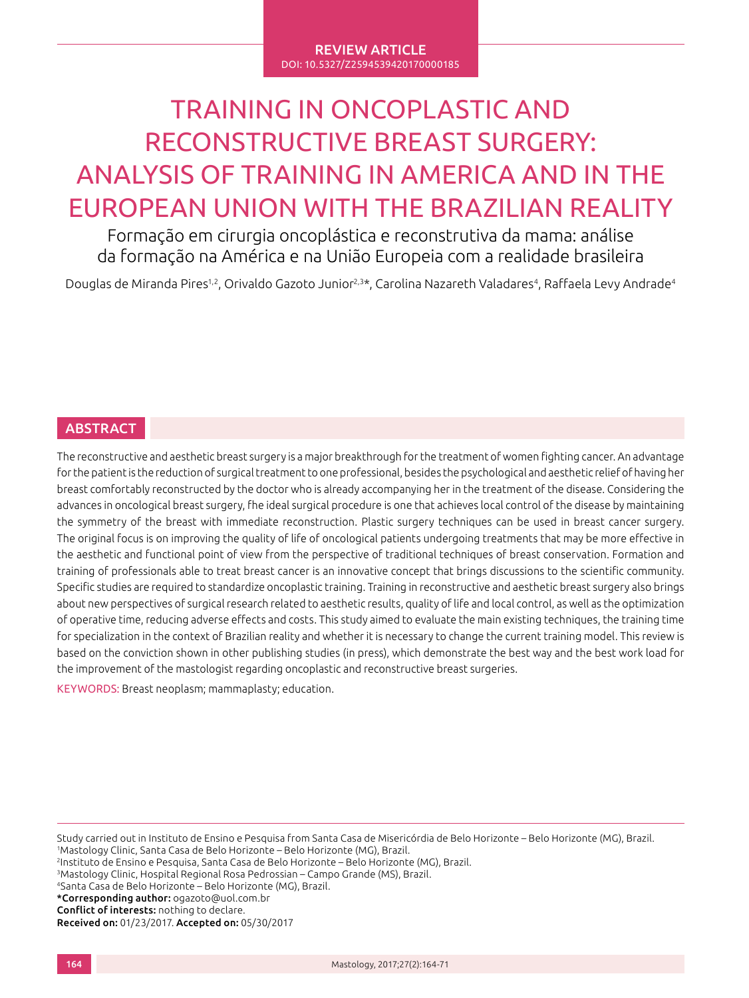#### REVIEW ARTICLE DOI: 10.5327/Z2594539420170000185

# TRAINING IN ONCOPLASTIC AND RECONSTRUCTIVE BREAST SURGERY: ANALYSIS OF TRAINING IN AMERICA AND IN THE EUROPEAN UNION WITH THE BRAZILIAN REALITY

Formação em cirurgia oncoplástica e reconstrutiva da mama: análise da formação na América e na União Europeia com a realidade brasileira

Douglas de Miranda Pires<sup>1,2</sup>, Orivaldo Gazoto Junior<sup>2,3\*</sup>, Carolina Nazareth Valadares<sup>4</sup>, Raffaela Levy Andrade<sup>4</sup>

# **ABSTRACT**

The reconstructive and aesthetic breast surgery is a major breakthrough for the treatment of women fighting cancer. An advantage for the patient is the reduction of surgical treatment to one professional, besides the psychological and aesthetic relief of having her breast comfortably reconstructed by the doctor who is already accompanying her in the treatment of the disease. Considering the advances in oncological breast surgery, fhe ideal surgical procedure is one that achieves local control of the disease by maintaining the symmetry of the breast with immediate reconstruction. Plastic surgery techniques can be used in breast cancer surgery. The original focus is on improving the quality of life of oncological patients undergoing treatments that may be more effective in the aesthetic and functional point of view from the perspective of traditional techniques of breast conservation. Formation and training of professionals able to treat breast cancer is an innovative concept that brings discussions to the scientific community. Specific studies are required to standardize oncoplastic training. Training in reconstructive and aesthetic breast surgery also brings about new perspectives of surgical research related to aesthetic results, quality of life and local control, as well as the optimization of operative time, reducing adverse effects and costs. This study aimed to evaluate the main existing techniques, the training time for specialization in the context of Brazilian reality and whether it is necessary to change the current training model. This review is based on the conviction shown in other publishing studies (in press), which demonstrate the best way and the best work load for the improvement of the mastologist regarding oncoplastic and reconstructive breast surgeries.

KEYWORDS: Breast neoplasm; mammaplasty; education.

Study carried out in Instituto de Ensino e Pesquisa from Santa Casa de Misericórdia de Belo Horizonte – Belo Horizonte (MG), Brazil. 1 Mastology Clinic, Santa Casa de Belo Horizonte – Belo Horizonte (MG), Brazil. <sup>2</sup>Instituto de Ensino e Pesquisa, Santa Casa de Belo Horizonte – Belo Horizonte (MG), Brazil. <sup>3</sup>Mastology Clinic, Hospital Regional Rosa Pedrossian – Campo Grande (MS), Brazil. <sup>4</sup>Santa Casa de Belo Horizonte – Belo Horizonte (MG), Brazil. \*Corresponding author: ogazoto@uol.com.br Conflict of interests: nothing to declare. Received on: 01/23/2017. Accepted on: 05/30/2017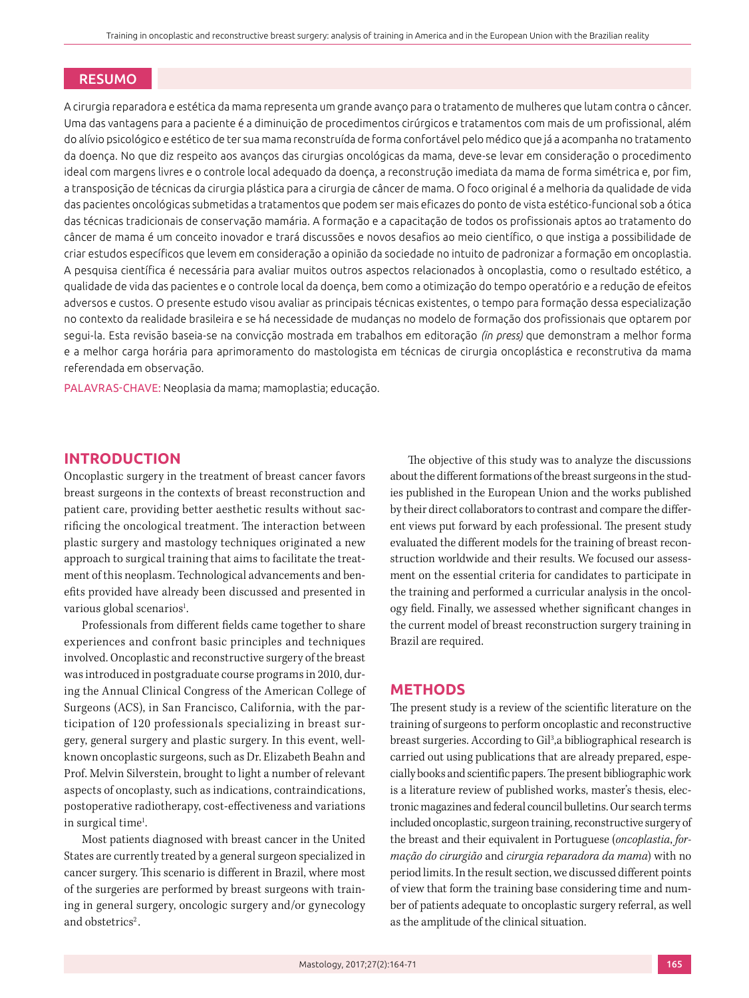# RESUMO

A cirurgia reparadora e estética da mama representa um grande avanço para o tratamento de mulheres que lutam contra o câncer. Uma das vantagens para a paciente é a diminuição de procedimentos cirúrgicos e tratamentos com mais de um profissional, além do alívio psicológico e estético de ter sua mama reconstruída de forma confortável pelo médico que já a acompanha no tratamento da doença. No que diz respeito aos avanços das cirurgias oncológicas da mama, deve-se levar em consideração o procedimento ideal com margens livres e o controle local adequado da doença, a reconstrução imediata da mama de forma simétrica e, por fim, a transposição de técnicas da cirurgia plástica para a cirurgia de câncer de mama. O foco original é a melhoria da qualidade de vida das pacientes oncológicas submetidas a tratamentos que podem ser mais eficazes do ponto de vista estético-funcional sob a ótica das técnicas tradicionais de conservação mamária. A formação e a capacitação de todos os profissionais aptos ao tratamento do câncer de mama é um conceito inovador e trará discussões e novos desafios ao meio científico, o que instiga a possibilidade de criar estudos específicos que levem em consideração a opinião da sociedade no intuito de padronizar a formação em oncoplastia. A pesquisa científica é necessária para avaliar muitos outros aspectos relacionados à oncoplastia, como o resultado estético, a qualidade de vida das pacientes e o controle local da doença, bem como a otimização do tempo operatório e a redução de efeitos adversos e custos. O presente estudo visou avaliar as principais técnicas existentes, o tempo para formação dessa especialização no contexto da realidade brasileira e se há necessidade de mudanças no modelo de formação dos profissionais que optarem por segui-la. Esta revisão baseia-se na convicção mostrada em trabalhos em editoração *(in press)* que demonstram a melhor forma e a melhor carga horária para aprimoramento do mastologista em técnicas de cirurgia oncoplástica e reconstrutiva da mama referendada em observação.

PALAVRAS-CHAVE: Neoplasia da mama; mamoplastia; educação.

# **INTRODUCTION**

Oncoplastic surgery in the treatment of breast cancer favors breast surgeons in the contexts of breast reconstruction and patient care, providing better aesthetic results without sacrificing the oncological treatment. The interaction between plastic surgery and mastology techniques originated a new approach to surgical training that aims to facilitate the treatment of this neoplasm. Technological advancements and benefits provided have already been discussed and presented in various global scenarios<sup>1</sup>. .

Professionals from different fields came together to share experiences and confront basic principles and techniques involved. Oncoplastic and reconstructive surgery of the breast was introduced in postgraduate course programs in 2010, during the Annual Clinical Congress of the American College of Surgeons (ACS), in San Francisco, California, with the participation of 120 professionals specializing in breast surgery, general surgery and plastic surgery. In this event, wellknown oncoplastic surgeons, such as Dr. Elizabeth Beahn and Prof. Melvin Silverstein, brought to light a number of relevant aspects of oncoplasty, such as indications, contraindications, postoperative radiotherapy, cost-effectiveness and variations in surgical time<sup>1</sup>. .

Most patients diagnosed with breast cancer in the United States are currently treated by a general surgeon specialized in cancer surgery. This scenario is different in Brazil, where most of the surgeries are performed by breast surgeons with training in general surgery, oncologic surgery and/or gynecology and obstetrics<sup>2</sup>.

The objective of this study was to analyze the discussions about the different formations of the breast surgeons in the studies published in the European Union and the works published by their direct collaborators to contrast and compare the different views put forward by each professional. The present study evaluated the different models for the training of breast reconstruction worldwide and their results. We focused our assessment on the essential criteria for candidates to participate in the training and performed a curricular analysis in the oncology field. Finally, we assessed whether significant changes in the current model of breast reconstruction surgery training in Brazil are required.

#### **METHODS**

The present study is a review of the scientific literature on the training of surgeons to perform oncoplastic and reconstructive breast surgeries. According to Gil<sup>3</sup>, a bibliographical research is carried out using publications that are already prepared, especially books and scientific papers. The present bibliographic work is a literature review of published works, master's thesis, electronic magazines and federal council bulletins. Our search terms included oncoplastic, surgeon training, reconstructive surgery of the breast and their equivalent in Portuguese (*oncoplastia*, *formação do cirurgião* and *cirurgia reparadora da mama*) with no period limits. In the result section, we discussed different points of view that form the training base considering time and number of patients adequate to oncoplastic surgery referral, as well as the amplitude of the clinical situation.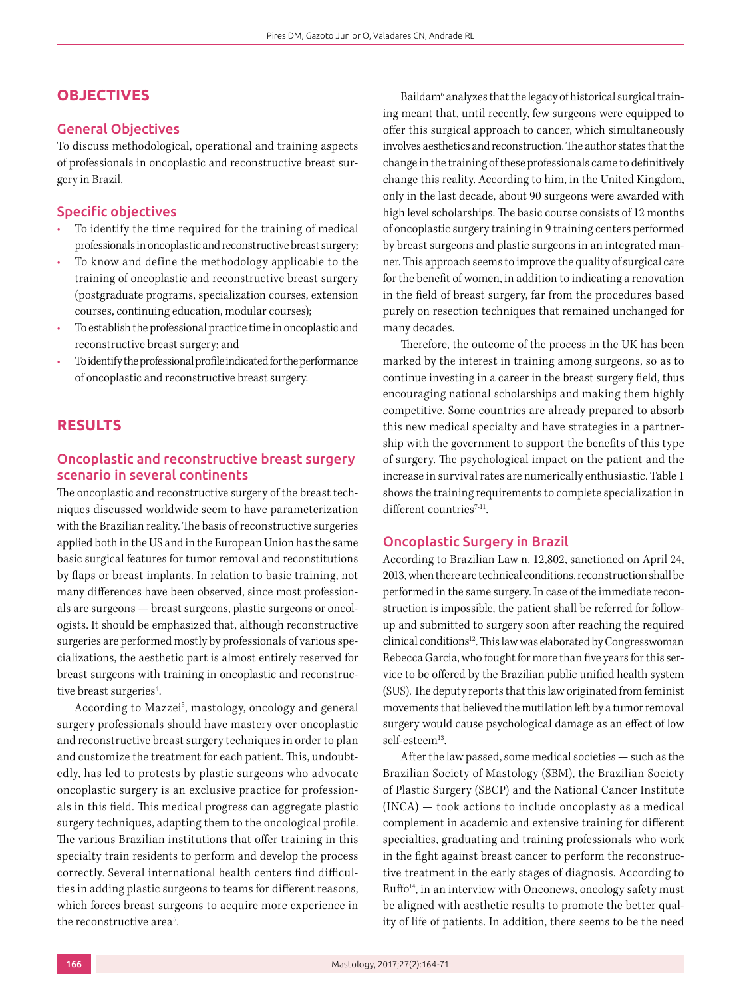# **OBJECTIVES**

## General Objectives

To discuss methodological, operational and training aspects of professionals in oncoplastic and reconstructive breast surgery in Brazil.

### Specific objectives

- To identify the time required for the training of medical professionals in oncoplastic and reconstructive breast surgery;
- To know and define the methodology applicable to the training of oncoplastic and reconstructive breast surgery (postgraduate programs, specialization courses, extension courses, continuing education, modular courses);
- To establish the professional practice time in oncoplastic and reconstructive breast surgery; and
- To identify the professional profile indicated for the performance of oncoplastic and reconstructive breast surgery.

# **RESULTS**

# Oncoplastic and reconstructive breast surgery scenario in several continents

The oncoplastic and reconstructive surgery of the breast techniques discussed worldwide seem to have parameterization with the Brazilian reality. The basis of reconstructive surgeries applied both in the US and in the European Union has the same basic surgical features for tumor removal and reconstitutions by flaps or breast implants. In relation to basic training, not many differences have been observed, since most professionals are surgeons — breast surgeons, plastic surgeons or oncologists. It should be emphasized that, although reconstructive surgeries are performed mostly by professionals of various specializations, the aesthetic part is almost entirely reserved for breast surgeons with training in oncoplastic and reconstructive breast surgeries<sup>4</sup>. .

According to Mazzei<sup>5</sup>, mastology, oncology and general surgery professionals should have mastery over oncoplastic and reconstructive breast surgery techniques in order to plan and customize the treatment for each patient. This, undoubtedly, has led to protests by plastic surgeons who advocate oncoplastic surgery is an exclusive practice for professionals in this field. This medical progress can aggregate plastic surgery techniques, adapting them to the oncological profile. The various Brazilian institutions that offer training in this specialty train residents to perform and develop the process correctly. Several international health centers find difficulties in adding plastic surgeons to teams for different reasons, which forces breast surgeons to acquire more experience in the reconstructive area<sup>5</sup>.

Baildam<sup>6</sup> analyzes that the legacy of historical surgical training meant that, until recently, few surgeons were equipped to offer this surgical approach to cancer, which simultaneously involves aesthetics and reconstruction. The author states that the change in the training of these professionals came to definitively change this reality. According to him, in the United Kingdom, only in the last decade, about 90 surgeons were awarded with high level scholarships. The basic course consists of 12 months of oncoplastic surgery training in 9 training centers performed by breast surgeons and plastic surgeons in an integrated manner. This approach seems to improve the quality of surgical care for the benefit of women, in addition to indicating a renovation in the field of breast surgery, far from the procedures based purely on resection techniques that remained unchanged for many decades.

Therefore, the outcome of the process in the UK has been marked by the interest in training among surgeons, so as to continue investing in a career in the breast surgery field, thus encouraging national scholarships and making them highly competitive. Some countries are already prepared to absorb this new medical specialty and have strategies in a partnership with the government to support the benefits of this type of surgery. The psychological impact on the patient and the increase in survival rates are numerically enthusiastic. Table 1 shows the training requirements to complete specialization in different countries<sup>7-11</sup>.

#### Oncoplastic Surgery in Brazil

According to Brazilian Law n. 12,802, sanctioned on April 24, 2013, when there are technical conditions, reconstruction shall be performed in the same surgery. In case of the immediate reconstruction is impossible, the patient shall be referred for followup and submitted to surgery soon after reaching the required clinical conditions<sup>12</sup>. This law was elaborated by Congresswoman Rebecca Garcia, who fought for more than five years for this service to be offered by the Brazilian public unified health system (SUS). The deputy reports that this law originated from feminist movements that believed the mutilation left by a tumor removal surgery would cause psychological damage as an effect of low self-esteem<sup>13</sup>.

After the law passed, some medical societies — such as the Brazilian Society of Mastology (SBM), the Brazilian Society of Plastic Surgery (SBCP) and the National Cancer Institute (INCA) — took actions to include oncoplasty as a medical complement in academic and extensive training for different specialties, graduating and training professionals who work in the fight against breast cancer to perform the reconstructive treatment in the early stages of diagnosis. According to  $Ruffo<sup>14</sup>$ , in an interview with Onconews, oncology safety must be aligned with aesthetic results to promote the better quality of life of patients. In addition, there seems to be the need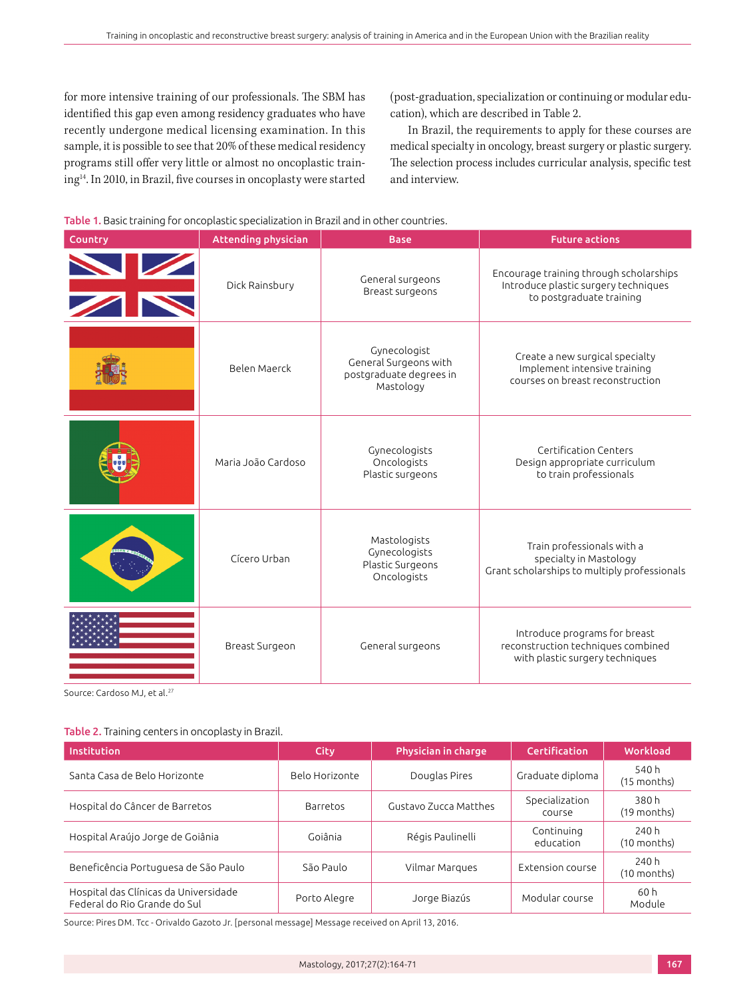for more intensive training of our professionals. The SBM has identified this gap even among residency graduates who have recently undergone medical licensing examination. In this sample, it is possible to see that 20% of these medical residency programs still offer very little or almost no oncoplastic train- $\mathrm{ing^{14}}.$  In 2010, in Brazil, five courses in oncoplasty were started (post-graduation, specialization or continuing or modular education), which are described in Table 2.

In Brazil, the requirements to apply for these courses are medical specialty in oncology, breast surgery or plastic surgery. The selection process includes curricular analysis, specific test and interview.



| Country         | <b>Attending physician</b> | <b>Base</b>                                                                   | <b>Future actions</b>                                                                                       |
|-----------------|----------------------------|-------------------------------------------------------------------------------|-------------------------------------------------------------------------------------------------------------|
| <b>EXPLORER</b> | Dick Rainsbury             | General surgeons<br>Breast surgeons                                           | Encourage training through scholarships<br>Introduce plastic surgery techniques<br>to postgraduate training |
|                 | Belen Maerck               | Gynecologist<br>General Surgeons with<br>postgraduate degrees in<br>Mastology | Create a new surgical specialty<br>Implement intensive training<br>courses on breast reconstruction         |
|                 | Maria João Cardoso         | Gynecologists<br>Oncologists<br>Plastic surgeons                              | Certification Centers<br>Design appropriate curriculum<br>to train professionals                            |
|                 | Cícero Urban               | Mastologists<br>Gynecologists<br>Plastic Surgeons<br>Oncologists              | Train professionals with a<br>specialty in Mastology<br>Grant scholarships to multiply professionals        |
|                 | Breast Surgeon             | General surgeons                                                              | Introduce programs for breast<br>reconstruction techniques combined<br>with plastic surgery techniques      |

Source: Cardoso MJ, et al.<sup>27</sup>

#### Table 2. Training centers in oncoplasty in Brazil.

| <b>Institution</b>                                                    | City           | <b>Physician in charge</b> | Certification            | Workload               |
|-----------------------------------------------------------------------|----------------|----------------------------|--------------------------|------------------------|
| Santa Casa de Belo Horizonte                                          | Belo Horizonte | Douglas Pires              | Graduate diploma         | 540 h<br>(15 months)   |
| Hospital do Câncer de Barretos                                        | Barretos       | Gustavo Zucca Matthes      | Specialization<br>course | 380 h<br>(19 months)   |
| Hospital Araújo Jorge de Goiânia                                      | Goiânia        | Régis Paulinelli           | Continuing<br>education  | 240 h<br>$(10$ months) |
| Beneficência Portuguesa de São Paulo                                  | São Paulo      | Vilmar Margues             | Extension course         | 240 h<br>(10 months)   |
| Hospital das Clínicas da Universidade<br>Federal do Rio Grande do Sul | Porto Alegre   | Jorge Biazús               | Modular course           | 60 h<br>Module         |

Source: Pires DM. Tcc - Orivaldo Gazoto Jr. [personal message] Message received on April 13, 2016.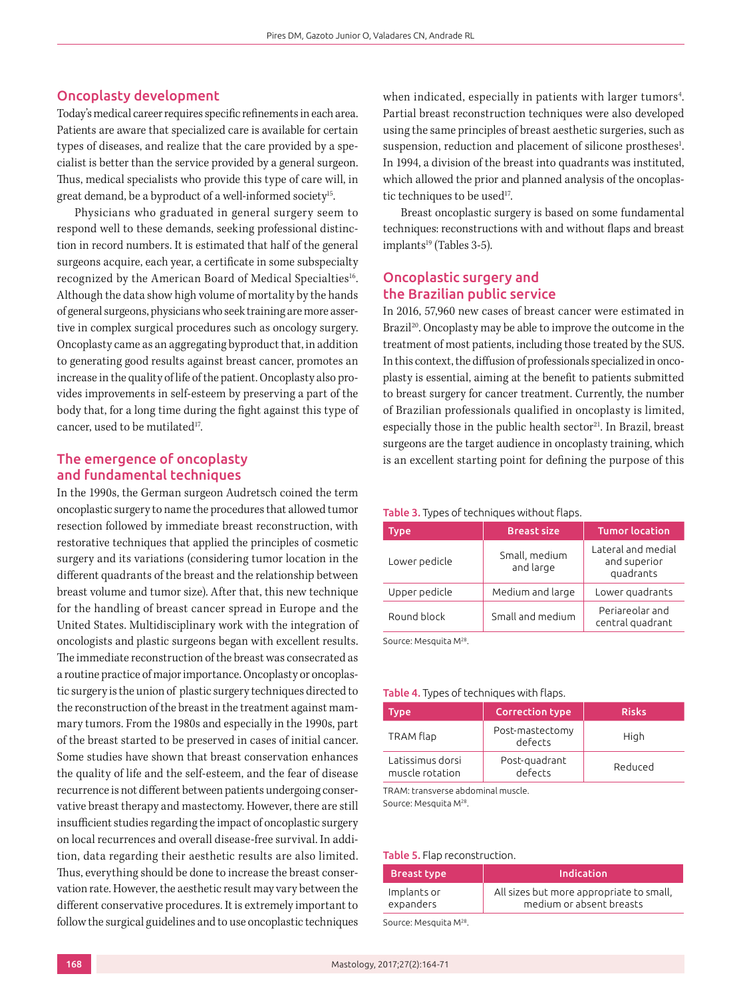## Oncoplasty development

Today's medical career requires specific refinements in each area. Patients are aware that specialized care is available for certain types of diseases, and realize that the care provided by a specialist is better than the service provided by a general surgeon. Thus, medical specialists who provide this type of care will, in great demand, be a byproduct of a well-informed society<sup>15</sup>.

Physicians who graduated in general surgery seem to respond well to these demands, seeking professional distinction in record numbers. It is estimated that half of the general surgeons acquire, each year, a certificate in some subspecialty recognized by the American Board of Medical Specialties<sup>16</sup>. Although the data show high volume of mortality by the hands of general surgeons, physicians who seek training are more assertive in complex surgical procedures such as oncology surgery. Oncoplasty came as an aggregating byproduct that, in addition to generating good results against breast cancer, promotes an increase in the quality of life of the patient. Oncoplasty also provides improvements in self-esteem by preserving a part of the body that, for a long time during the fight against this type of cancer, used to be mutilated<sup>17</sup>.

# The emergence of oncoplasty and fundamental techniques

In the 1990s, the German surgeon Audretsch coined the term oncoplastic surgery to name the procedures that allowed tumor resection followed by immediate breast reconstruction, with restorative techniques that applied the principles of cosmetic surgery and its variations (considering tumor location in the different quadrants of the breast and the relationship between breast volume and tumor size). After that, this new technique for the handling of breast cancer spread in Europe and the United States. Multidisciplinary work with the integration of oncologists and plastic surgeons began with excellent results. The immediate reconstruction of the breast was consecrated as a routine practice of major importance. Oncoplasty or oncoplastic surgery is the union of plastic surgery techniques directed to the reconstruction of the breast in the treatment against mammary tumors. From the 1980s and especially in the 1990s, part of the breast started to be preserved in cases of initial cancer. Some studies have shown that breast conservation enhances the quality of life and the self-esteem, and the fear of disease recurrence is not different between patients undergoing conservative breast therapy and mastectomy. However, there are still insufficient studies regarding the impact of oncoplastic surgery on local recurrences and overall disease-free survival. In addition, data regarding their aesthetic results are also limited. Thus, everything should be done to increase the breast conservation rate. However, the aesthetic result may vary between the different conservative procedures. It is extremely important to follow the surgical guidelines and to use oncoplastic techniques

when indicated, especially in patients with larger tumors<sup>4</sup>. Partial breast reconstruction techniques were also developed using the same principles of breast aesthetic surgeries, such as suspension, reduction and placement of silicone prostheses<sup>1</sup>. In 1994, a division of the breast into quadrants was instituted, which allowed the prior and planned analysis of the oncoplastic techniques to be used<sup>17</sup>.

Breast oncoplastic surgery is based on some fundamental techniques: reconstructions with and without flaps and breast  $implants<sup>19</sup>$  (Tables 3-5).

# Oncoplastic surgery and the Brazilian public service

In 2016, 57,960 new cases of breast cancer were estimated in Brazil<sup>20</sup>. Oncoplasty may be able to improve the outcome in the treatment of most patients, including those treated by the SUS. In this context, the diffusion of professionals specialized in oncoplasty is essential, aiming at the benefit to patients submitted to breast surgery for cancer treatment. Currently, the number of Brazilian professionals qualified in oncoplasty is limited, especially those in the public health sector<sup>21</sup>. In Brazil, breast surgeons are the target audience in oncoplasty training, which is an excellent starting point for defining the purpose of this

#### Table 3. Types of techniques without flaps.

| Type          | <b>Breast size</b>         | <b>Tumor location</b>                           |
|---------------|----------------------------|-------------------------------------------------|
| Lower pedicle | Small, medium<br>and large | Lateral and medial<br>and superior<br>quadrants |
| Upper pedicle | Medium and large           | Lower quadrants                                 |
| Round block   | Small and medium           | Periareolar and<br>central quadrant             |

Source: Mesquita M28.

#### Table 4. Types of techniques with flaps.

| Type <sup>1</sup>                   | <b>Correction type</b>     | <b>Risks</b> |
|-------------------------------------|----------------------------|--------------|
| TRAM flap                           | Post-mastectomy<br>defects | High         |
| Latissimus dorsi<br>muscle rotation | Post-quadrant<br>defects   | Reduced      |

TRAM: transverse abdominal muscle. Source: Mesquita M28.

#### Table 5. Flap reconstruction.

| <b>Breast type</b>                 | Indication                                                           |
|------------------------------------|----------------------------------------------------------------------|
| Implants or<br>expanders           | All sizes but more appropriate to small,<br>medium or absent breasts |
| Source: Mesquita M <sup>28</sup> . |                                                                      |

168 Mastology, 2017;27(2):164-71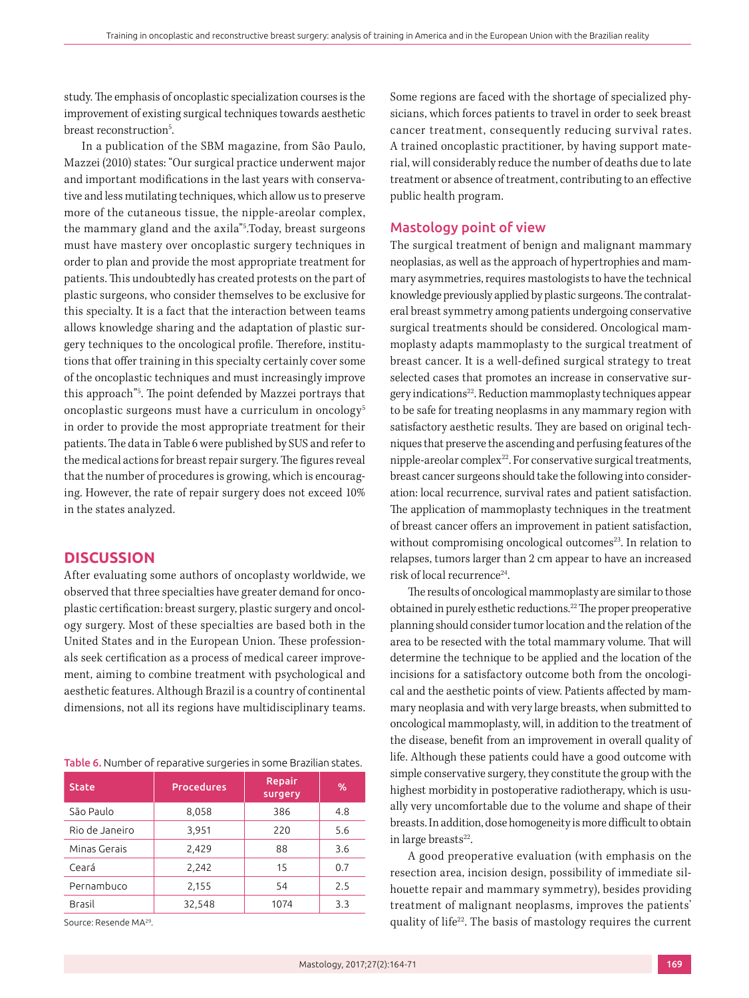study. The emphasis of oncoplastic specialization courses is the improvement of existing surgical techniques towards aesthetic breast reconstruction<sup>5</sup>. .

In a publication of the SBM magazine, from São Paulo, Mazzei (2010) states: "Our surgical practice underwent major and important modifications in the last years with conservative and less mutilating techniques, which allow us to preserve more of the cutaneous tissue, the nipple-areolar complex, the mammary gland and the axila"5 .Today, breast surgeons must have mastery over oncoplastic surgery techniques in order to plan and provide the most appropriate treatment for patients. This undoubtedly has created protests on the part of plastic surgeons, who consider themselves to be exclusive for this specialty. It is a fact that the interaction between teams allows knowledge sharing and the adaptation of plastic surgery techniques to the oncological profile. Therefore, institutions that offer training in this specialty certainly cover some of the oncoplastic techniques and must increasingly improve this approach"5 . The point defended by Mazzei portrays that oncoplastic surgeons must have a curriculum in oncology5 in order to provide the most appropriate treatment for their patients. The data in Table 6 were published by SUS and refer to the medical actions for breast repair surgery. The figures reveal that the number of procedures is growing, which is encouraging. However, the rate of repair surgery does not exceed 10% in the states analyzed.

## **DISCUSSION**

After evaluating some authors of oncoplasty worldwide, we observed that three specialties have greater demand for oncoplastic certification: breast surgery, plastic surgery and oncology surgery. Most of these specialties are based both in the United States and in the European Union. These professionals seek certification as a process of medical career improvement, aiming to combine treatment with psychological and aesthetic features. Although Brazil is a country of continental dimensions, not all its regions have multidisciplinary teams.

#### Table 6. Number of reparative surgeries in some Brazilian states.

| <b>State</b>   | <b>Procedures</b> | Repair<br>surgery | %   |
|----------------|-------------------|-------------------|-----|
| São Paulo      | 8,058             | 386               | 4.8 |
| Rio de Janeiro | 3,951             | 220               | 5.6 |
| Minas Gerais   | 2,429             | 88                | 3.6 |
| Ceará          | 2,242             | 15                | 0.7 |
| Pernambuco     | 2,155             | 54                | 2.5 |
| <b>Brasil</b>  | 32,548            | 1074              | 3.3 |

Source: Resende MA29.

Some regions are faced with the shortage of specialized physicians, which forces patients to travel in order to seek breast cancer treatment, consequently reducing survival rates. A trained oncoplastic practitioner, by having support material, will considerably reduce the number of deaths due to late treatment or absence of treatment, contributing to an effective public health program.

#### Mastology point of view

The surgical treatment of benign and malignant mammary neoplasias, as well as the approach of hypertrophies and mammary asymmetries, requires mastologists to have the technical knowledge previously applied by plastic surgeons. The contralateral breast symmetry among patients undergoing conservative surgical treatments should be considered. Oncological mammoplasty adapts mammoplasty to the surgical treatment of breast cancer. It is a well-defined surgical strategy to treat selected cases that promotes an increase in conservative surgery indications22. Reduction mammoplasty techniques appear to be safe for treating neoplasms in any mammary region with satisfactory aesthetic results. They are based on original techniques that preserve the ascending and perfusing features of the nipple-areolar complex<sup>22</sup>. For conservative surgical treatments, breast cancer surgeons should take the following into consideration: local recurrence, survival rates and patient satisfaction. The application of mammoplasty techniques in the treatment of breast cancer offers an improvement in patient satisfaction, without compromising oncological outcomes<sup>23</sup>. In relation to relapses, tumors larger than 2 cm appear to have an increased risk of local recurrence<sup>24</sup>.

The results of oncological mammoplasty are similar to those obtained in purely esthetic reductions.22 The proper preoperative planning should consider tumor location and the relation of the area to be resected with the total mammary volume. That will determine the technique to be applied and the location of the incisions for a satisfactory outcome both from the oncological and the aesthetic points of view. Patients affected by mammary neoplasia and with very large breasts, when submitted to oncological mammoplasty, will, in addition to the treatment of the disease, benefit from an improvement in overall quality of life. Although these patients could have a good outcome with simple conservative surgery, they constitute the group with the highest morbidity in postoperative radiotherapy, which is usually very uncomfortable due to the volume and shape of their breasts. In addition, dose homogeneity is more difficult to obtain in large breasts $22$ .

A good preoperative evaluation (with emphasis on the resection area, incision design, possibility of immediate silhouette repair and mammary symmetry), besides providing treatment of malignant neoplasms, improves the patients' quality of life<sup>22</sup>. The basis of mastology requires the current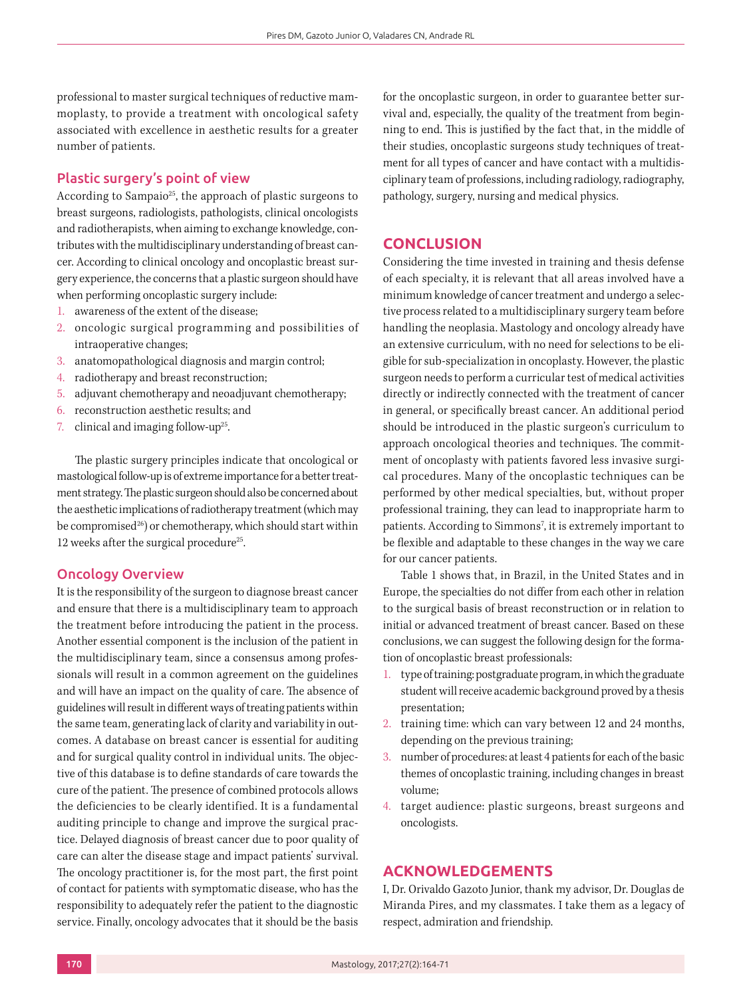professional to master surgical techniques of reductive mammoplasty, to provide a treatment with oncological safety associated with excellence in aesthetic results for a greater number of patients.

#### Plastic surgery's point of view

According to Sampaio<sup>25</sup>, the approach of plastic surgeons to breast surgeons, radiologists, pathologists, clinical oncologists and radiotherapists, when aiming to exchange knowledge, contributes with the multidisciplinary understanding of breast cancer. According to clinical oncology and oncoplastic breast surgery experience, the concerns that a plastic surgeon should have when performing oncoplastic surgery include:

- 1. awareness of the extent of the disease;
- 2. oncologic surgical programming and possibilities of intraoperative changes;
- 3. anatomopathological diagnosis and margin control;
- 4. radiotherapy and breast reconstruction;
- 5. adjuvant chemotherapy and neoadjuvant chemotherapy;
- 6. reconstruction aesthetic results; and
- 7. clinical and imaging follow-up<sup>25</sup>.

The plastic surgery principles indicate that oncological or mastological follow-up is of extreme importance for a better treatment strategy. The plastic surgeon should also be concerned about the aesthetic implications of radiotherapy treatment (which may be compromised $^{26}$ ) or chemotherapy, which should start within 12 weeks after the surgical procedure<sup>25</sup>.

## Oncology Overview

It is the responsibility of the surgeon to diagnose breast cancer and ensure that there is a multidisciplinary team to approach the treatment before introducing the patient in the process. Another essential component is the inclusion of the patient in the multidisciplinary team, since a consensus among professionals will result in a common agreement on the guidelines and will have an impact on the quality of care. The absence of guidelines will result in different ways of treating patients within the same team, generating lack of clarity and variability in outcomes. A database on breast cancer is essential for auditing and for surgical quality control in individual units. The objective of this database is to define standards of care towards the cure of the patient. The presence of combined protocols allows the deficiencies to be clearly identified. It is a fundamental auditing principle to change and improve the surgical practice. Delayed diagnosis of breast cancer due to poor quality of care can alter the disease stage and impact patients' survival. The oncology practitioner is, for the most part, the first point of contact for patients with symptomatic disease, who has the responsibility to adequately refer the patient to the diagnostic service. Finally, oncology advocates that it should be the basis

for the oncoplastic surgeon, in order to guarantee better survival and, especially, the quality of the treatment from beginning to end. This is justified by the fact that, in the middle of their studies, oncoplastic surgeons study techniques of treatment for all types of cancer and have contact with a multidisciplinary team of professions, including radiology, radiography, pathology, surgery, nursing and medical physics.

# **CONCLUSION**

Considering the time invested in training and thesis defense of each specialty, it is relevant that all areas involved have a minimum knowledge of cancer treatment and undergo a selective process related to a multidisciplinary surgery team before handling the neoplasia. Mastology and oncology already have an extensive curriculum, with no need for selections to be eligible for sub-specialization in oncoplasty. However, the plastic surgeon needs to perform a curricular test of medical activities directly or indirectly connected with the treatment of cancer in general, or specifically breast cancer. An additional period should be introduced in the plastic surgeon's curriculum to approach oncological theories and techniques. The commitment of oncoplasty with patients favored less invasive surgical procedures. Many of the oncoplastic techniques can be performed by other medical specialties, but, without proper professional training, they can lead to inappropriate harm to patients. According to Simmons<sup>7</sup>, it is extremely important to be flexible and adaptable to these changes in the way we care for our cancer patients.

Table 1 shows that, in Brazil, in the United States and in Europe, the specialties do not differ from each other in relation to the surgical basis of breast reconstruction or in relation to initial or advanced treatment of breast cancer. Based on these conclusions, we can suggest the following design for the formation of oncoplastic breast professionals:

- 1. type of training: postgraduate program, in which the graduate student will receive academic background proved by a thesis presentation;
- 2. training time: which can vary between 12 and 24 months, depending on the previous training;
- 3. number of procedures: at least 4 patients for each of the basic themes of oncoplastic training, including changes in breast volume;
- 4. target audience: plastic surgeons, breast surgeons and oncologists.

# **ACKNOWLEDGEMENTS**

I, Dr. Orivaldo Gazoto Junior, thank my advisor, Dr. Douglas de Miranda Pires, and my classmates. I take them as a legacy of respect, admiration and friendship.